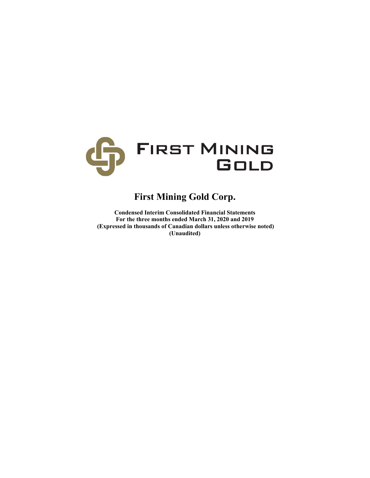

# **First Mining Gold Corp.**

**Condensed Interim Consolidated Financial Statements For the three months ended March 31, 2020 and 2019 (Expressed in thousands of Canadian dollars unless otherwise noted) (Unaudited)**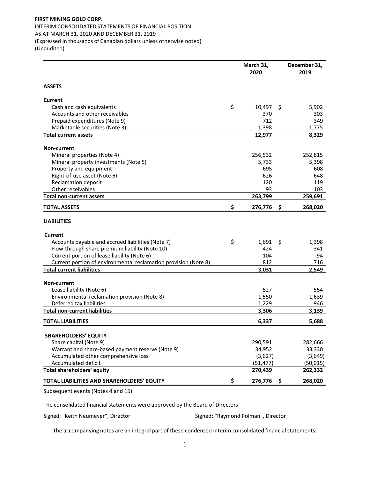## **FIRST MINING GOLD CORP.** INTERIM CONSOLIDATED STATEMENTS OF FINANCIAL POSITION AS AT MARCH 31, 2020 AND DECEMBER 31, 2019 (Expressed in thousands of Canadian dollars unless otherwise noted) (Unaudited)

|                                                                 | March 31,<br>2020 |     | December 31,<br>2019 |
|-----------------------------------------------------------------|-------------------|-----|----------------------|
| <b>ASSETS</b>                                                   |                   |     |                      |
| <b>Current</b>                                                  |                   |     |                      |
| \$<br>Cash and cash equivalents                                 | 10,497            | \$. | 5,902                |
| Accounts and other receivables                                  | 370               |     | 303                  |
| Prepaid expenditures (Note 9)                                   | 712               |     | 349                  |
| Marketable securities (Note 3)                                  | 1,398             |     | 1,775                |
| <b>Total current assets</b>                                     | 12,977            |     | 8,329                |
| <b>Non-current</b>                                              |                   |     |                      |
| Mineral properties (Note 4)                                     | 256,532           |     | 252,815              |
| Mineral property investments (Note 5)                           | 5,733             |     | 5,398                |
| Property and equipment                                          | 695               |     | 608                  |
| Right-of-use asset (Note 6)                                     | 626               |     | 648                  |
| <b>Reclamation deposit</b>                                      | 120               |     | 119                  |
| Other receivables                                               | 93                |     | 103                  |
| <b>Total non-current assets</b>                                 | 263,799           |     | 259,691              |
| \$<br><b>TOTAL ASSETS</b>                                       | 276,776           | \$  | 268,020              |
| <b>LIABILITIES</b>                                              |                   |     |                      |
| <b>Current</b>                                                  |                   |     |                      |
| \$<br>Accounts payable and accrued liabilities (Note 7)         | 1,691             | \$  | 1,398                |
| Flow-through share premium liability (Note 10)                  | 424               |     | 341                  |
| Current portion of lease liability (Note 6)                     | 104               |     | 94                   |
| Current portion of environmental reclamation provision (Note 8) | 812               |     | 716                  |
| <b>Total current liabilities</b>                                | 3,031             |     | 2,549                |
| <b>Non-current</b>                                              |                   |     |                      |
| Lease liability (Note 6)                                        | 527               |     | 554                  |
| Environmental reclamation provision (Note 8)                    | 1,550             |     | 1,639                |
| Deferred tax liabilities                                        | 1,229             |     | 946                  |
| <b>Total non-current liabilities</b>                            | 3,306             |     | 3,139                |
| <b>TOTAL LIABILITIES</b>                                        | 6,337             |     | 5,688                |
| <b>SHAREHOLDERS' EQUITY</b>                                     |                   |     |                      |
| Share capital (Note 9)                                          | 290,591           |     | 282,666              |
| Warrant and share-based payment reserve (Note 9)                | 34,952            |     | 33,330               |
| Accumulated other comprehensive loss                            | (3,627)           |     | (3,649)              |
| Accumulated deficit                                             | (51, 477)         |     | (50, 015)            |
| Total shareholders' equity                                      | 270,439           |     | 262,332              |
| \$<br>TOTAL LIABILITIES AND SHAREHOLDERS' EQUITY                | 276,776           | S   | 268,020              |

Subsequent events (Notes 4 and 15)

The consolidated financial statements were approved by the Board of Directors:

Signed: "Keith Neumeyer", Director **Signed: "Raymond Polman"**, Director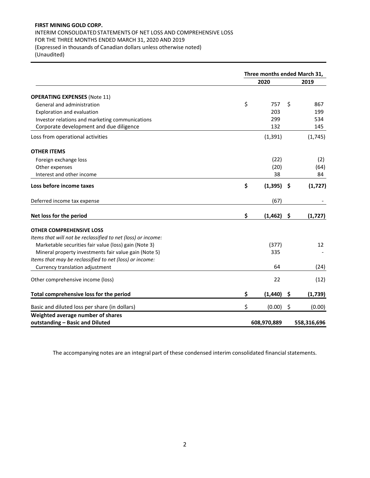# **FIRST MINING GOLD CORP.**

# INTERIM CONSOLIDATED STATEMENTS OF NET LOSS AND COMPREHENSIVE LOSS FOR THE THREE MONTHS ENDED MARCH 31, 2020 AND 2019 (Expressed in thousands of Canadian dollars unless otherwise noted) (Unaudited)

|                                                              | Three months ended March 31, |    |             |  |  |
|--------------------------------------------------------------|------------------------------|----|-------------|--|--|
|                                                              | 2020                         |    | 2019        |  |  |
| <b>OPERATING EXPENSES (Note 11)</b>                          |                              |    |             |  |  |
| General and administration                                   | \$<br>757                    | \$ | 867         |  |  |
| <b>Exploration and evaluation</b>                            | 203                          |    | 199         |  |  |
| Investor relations and marketing communications              | 299                          |    | 534         |  |  |
| Corporate development and due diligence                      | 132                          |    | 145         |  |  |
| Loss from operational activities                             | (1, 391)                     |    | (1,745)     |  |  |
| <b>OTHER ITEMS</b>                                           |                              |    |             |  |  |
| Foreign exchange loss                                        | (22)                         |    | (2)         |  |  |
| Other expenses                                               | (20)                         |    | (64)        |  |  |
| Interest and other income                                    | 38                           |    | 84          |  |  |
| Loss before income taxes                                     | \$<br>(1, 395)               | \$ | (1, 727)    |  |  |
| Deferred income tax expense                                  | (67)                         |    |             |  |  |
| Net loss for the period                                      | \$<br>(1, 462)               | \$ | (1,727)     |  |  |
| <b>OTHER COMPREHENSIVE LOSS</b>                              |                              |    |             |  |  |
| Items that will not be reclassified to net (loss) or income: |                              |    |             |  |  |
| Marketable securities fair value (loss) gain (Note 3)        | (377)                        |    | 12          |  |  |
| Mineral property investments fair value gain (Note 5)        | 335                          |    |             |  |  |
| Items that may be reclassified to net (loss) or income:      |                              |    |             |  |  |
| Currency translation adjustment                              | 64                           |    | (24)        |  |  |
| Other comprehensive income (loss)                            | 22                           |    | (12)        |  |  |
| Total comprehensive loss for the period                      | \$<br>(1, 440)               | \$ | (1,739)     |  |  |
| Basic and diluted loss per share (in dollars)                | \$<br>(0.00)                 | \$ | (0.00)      |  |  |
| Weighted average number of shares                            |                              |    |             |  |  |
| outstanding - Basic and Diluted                              | 608,970,889                  |    | 558,316,696 |  |  |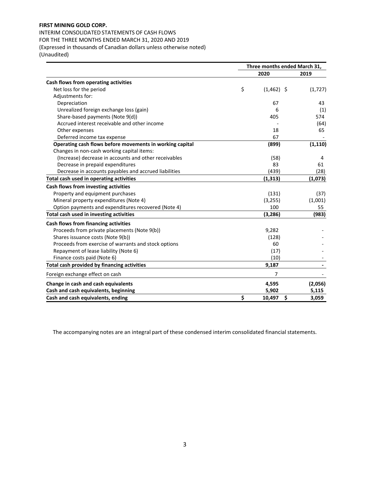# **FIRST MINING GOLD CORP.**

INTERIM CONSOLIDATED STATEMENTS OF CASH FLOWS FOR THE THREE MONTHS ENDED MARCH 31, 2020 AND 2019 (Expressed in thousands of Canadian dollars unless otherwise noted) (Unaudited)

|                                                          | Three months ended March 31, |                |          |  |  |
|----------------------------------------------------------|------------------------------|----------------|----------|--|--|
|                                                          |                              | 2020           | 2019     |  |  |
| Cash flows from operating activities                     |                              |                |          |  |  |
| Net loss for the period                                  | \$                           | $(1,462)$ \$   | (1, 727) |  |  |
| Adjustments for:                                         |                              |                |          |  |  |
| Depreciation                                             |                              | 67             | 43       |  |  |
| Unrealized foreign exchange loss (gain)                  |                              | 6              | (1)      |  |  |
| Share-based payments (Note 9(d))                         |                              | 405            | 574      |  |  |
| Accrued interest receivable and other income             |                              |                | (64)     |  |  |
| Other expenses                                           |                              | 18             | 65       |  |  |
| Deferred income tax expense                              |                              | 67             |          |  |  |
| Operating cash flows before movements in working capital |                              | (899)          | (1, 110) |  |  |
| Changes in non-cash working capital items:               |                              |                |          |  |  |
| (Increase) decrease in accounts and other receivables    |                              | (58)           | 4        |  |  |
| Decrease in prepaid expenditures                         |                              | 83             | 61       |  |  |
| Decrease in accounts payables and accrued liabilities    |                              | (439)          | (28)     |  |  |
| Total cash used in operating activities                  |                              | (1, 313)       | (1,073)  |  |  |
| Cash flows from investing activities                     |                              |                |          |  |  |
| Property and equipment purchases                         |                              | (131)          | (37)     |  |  |
| Mineral property expenditures (Note 4)                   |                              | (3, 255)       | (1,001)  |  |  |
| Option payments and expenditures recovered (Note 4)      |                              | 100            | 55       |  |  |
| Total cash used in investing activities                  |                              | (3, 286)       | (983)    |  |  |
| Cash flows from financing activities                     |                              |                |          |  |  |
| Proceeds from private placements (Note 9(b))             |                              | 9,282          |          |  |  |
| Shares issuance costs (Note 9(b))                        |                              | (128)          |          |  |  |
| Proceeds from exercise of warrants and stock options     |                              | 60             |          |  |  |
| Repayment of lease liability (Note 6)                    |                              | (17)           |          |  |  |
| Finance costs paid (Note 6)                              |                              | (10)           |          |  |  |
| Total cash provided by financing activities              |                              | 9,187          |          |  |  |
| Foreign exchange effect on cash                          |                              | $\overline{7}$ |          |  |  |
| Change in cash and cash equivalents                      |                              | 4,595          | (2,056)  |  |  |
| Cash and cash equivalents, beginning                     |                              | 5,902          | 5,115    |  |  |
| Cash and cash equivalents, ending                        | \$                           | \$<br>10,497   | 3,059    |  |  |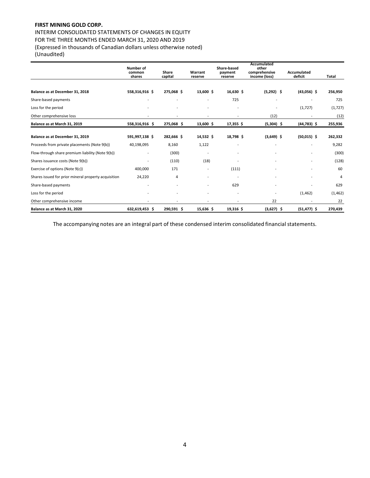# **FIRST MINING GOLD CORP.**

INTERIM CONSOLIDATED STATEMENTS OF CHANGES IN EQUITY FOR THE THREE MONTHS ENDED MARCH 31, 2020 AND 2019 (Expressed in thousands of Canadian dollars unless otherwise noted) (Unaudited)

|                                                      | <b>Number of</b><br>common<br>shares | Share<br>capital | Warrant<br>reserve | Share-based<br>payment<br>reserve | <b>Accumulated</b><br>other<br>comprehensive<br>income (loss) | Accumulated<br>deficit | Total    |
|------------------------------------------------------|--------------------------------------|------------------|--------------------|-----------------------------------|---------------------------------------------------------------|------------------------|----------|
|                                                      |                                      |                  |                    |                                   |                                                               |                        |          |
| Balance as at December 31, 2018                      | 558,316,916 \$                       | 275,068 \$       | 13,600 \$          | 16,630 \$                         | $(5,292)$ \$                                                  | $(43,056)$ \$          | 256,950  |
| Share-based payments                                 |                                      | ۰                |                    | 725                               |                                                               |                        | 725      |
| Loss for the period                                  |                                      |                  |                    |                                   | ٠                                                             | (1,727)                | (1, 727) |
| Other comprehensive loss                             |                                      |                  | ۰                  | $\overline{\phantom{a}}$          | (12)                                                          |                        | (12)     |
| Balance as at March 31, 2019                         | 558,316,916 \$                       | 275,068 \$       | 13,600 \$          | $17,355$ \$                       | $(5,304)$ \$                                                  | $(44, 783)$ \$         | 255,936  |
| Balance as at December 31, 2019                      | 591,997,138 \$                       | 282,666 \$       | 14,532 \$          | 18,798 \$                         | $(3,649)$ \$                                                  | $(50,015)$ \$          | 262,332  |
| Proceeds from private placements (Note 9(b))         | 40,198,095                           | 8,160            | 1,122              |                                   |                                                               |                        | 9,282    |
| Flow-through share premium liability (Note 9(b))     |                                      | (300)            |                    |                                   |                                                               |                        | (300)    |
| Shares issuance costs (Note 9(b))                    |                                      | (110)            | (18)               |                                   |                                                               |                        | (128)    |
| Exercise of options (Note 9(c))                      | 400,000                              | 171              |                    | (111)                             |                                                               |                        | 60       |
| Shares issued for prior mineral property acquisition | 24,220                               | 4                |                    |                                   |                                                               |                        | 4        |
| Share-based payments                                 |                                      |                  |                    | 629                               |                                                               |                        | 629      |
| Loss for the period                                  |                                      |                  |                    |                                   |                                                               | (1, 462)               | (1, 462) |
| Other comprehensive income                           |                                      |                  |                    |                                   | 22                                                            |                        | 22       |
| Balance as at March 31, 2020                         | 632,619,453 \$                       | 290,591 \$       | 15,636 \$          | 19,316 \$                         | $(3,627)$ \$                                                  | $(51, 477)$ \$         | 270,439  |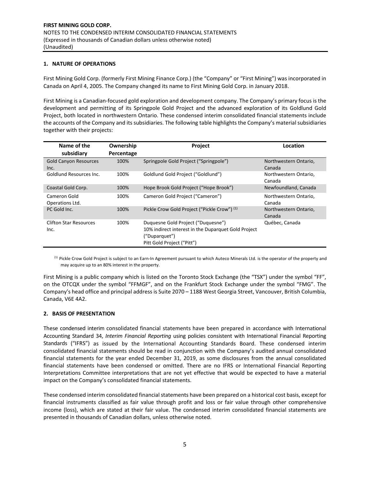#### **1. NATURE OF OPERATIONS**

First Mining Gold Corp. (formerly First Mining Finance Corp.) (the "Company" or "First Mining") was incorporated in Canada on April 4, 2005. The Company changed its name to First Mining Gold Corp. in January 2018.

First Mining is a Canadian‐focused gold exploration and development company. The Company's primary focus is the development and permitting of its Springpole Gold Project and the advanced exploration of its Goldlund Gold Project, both located in northwestern Ontario. These condensed interim consolidated financial statements include the accounts of the Company and its subsidiaries. The following table highlights the Company's material subsidiaries together with their projects:

| Name of the<br>subsidiary             | Ownership<br>Percentage | <b>Project</b>                                                                                                                           | Location                        |
|---------------------------------------|-------------------------|------------------------------------------------------------------------------------------------------------------------------------------|---------------------------------|
| <b>Gold Canyon Resources</b><br>Inc.  | 100%                    | Springpole Gold Project ("Springpole")                                                                                                   | Northwestern Ontario,<br>Canada |
| Goldlund Resources Inc.               | 100%                    | Goldlund Gold Project ("Goldlund")                                                                                                       | Northwestern Ontario,<br>Canada |
| Coastal Gold Corp.                    | 100%                    | Hope Brook Gold Project ("Hope Brook")                                                                                                   | Newfoundland, Canada            |
| Cameron Gold<br>Operations Ltd.       | 100%                    | Cameron Gold Project ("Cameron")                                                                                                         | Northwestern Ontario,<br>Canada |
| PC Gold Inc.                          | 100%                    | Pickle Crow Gold Project ("Pickle Crow") (1)                                                                                             | Northwestern Ontario,<br>Canada |
| <b>Clifton Star Resources</b><br>Inc. | 100%                    | Duquesne Gold Project ("Duquesne")<br>10% indirect interest in the Duparquet Gold Project<br>("Duparquet")<br>Pitt Gold Project ("Pitt") | Québec, Canada                  |

(1) Pickle Crow Gold Project is subject to an Earn-In Agreement pursuant to which Auteco Minerals Ltd. is the operator of the property and may acquire up to an 80% interest in the property.

First Mining is a public company which is listed on the Toronto Stock Exchange (the "TSX") under the symbol "FF", on the OTCQX under the symbol "FFMGF", and on the Frankfurt Stock Exchange under the symbol "FMG". The Company's head office and principal address is Suite 2070 – 1188 West Georgia Street, Vancouver, British Columbia, Canada, V6E 4A2.

#### **2. BASIS OF PRESENTATION**

These condensed interim consolidated financial statements have been prepared in accordance with International Accounting Standard 34, *Interim Financial Reporting* using policies consistent with International Financial Reporting Standards ("IFRS") as issued by the International Accounting Standards Board. These condensed interim consolidated financial statements should be read in conjunction with the Company's audited annual consolidated financial statements for the year ended December 31, 2019, as some disclosures from the annual consolidated financial statements have been condensed or omitted. There are no IFRS or International Financial Reporting Interpretations Committee interpretations that are not yet effective that would be expected to have a material impact on the Company's consolidated financial statements.

These condensed interim consolidated financial statements have been prepared on a historical cost basis, except for financial instruments classified as fair value through profit and loss or fair value through other comprehensive income (loss), which are stated at their fair value. The condensed interim consolidated financial statements are presented in thousands of Canadian dollars, unless otherwise noted.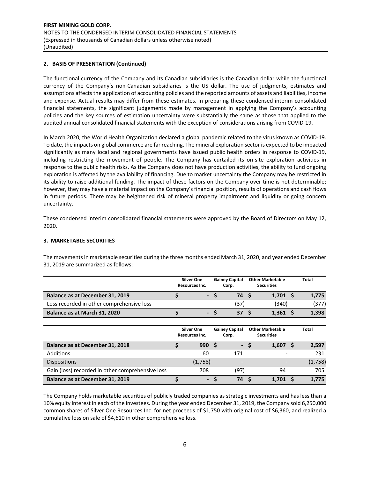## **2. BASIS OF PRESENTATION (Continued)**

The functional currency of the Company and its Canadian subsidiaries is the Canadian dollar while the functional currency of the Company's non‐Canadian subsidiaries is the US dollar. The use of judgments, estimates and assumptions affects the application of accounting policies and the reported amounts of assets and liabilities, income and expense. Actual results may differ from these estimates. In preparing these condensed interim consolidated financial statements, the significant judgements made by management in applying the Company's accounting policies and the key sources of estimation uncertainty were substantially the same as those that applied to the audited annual consolidated financial statements with the exception of considerations arising from COVID‐19.

In March 2020, the World Health Organization declared a global pandemic related to the virus known as COVID‐19. To date, the impacts on global commerce are far reaching. The mineral exploration sector is expected to be impacted significantly as many local and regional governments have issued public health orders in response to COVID-19, including restricting the movement of people. The Company has curtailed its on-site exploration activities in response to the public health risks. As the Company does not have production activities, the ability to fund ongoing exploration is affected by the availability of financing. Due to market uncertainty the Company may be restricted in its ability to raise additional funding. The impact of these factors on the Company over time is not determinable; however, they may have a material impact on the Company's financial position, results of operations and cash flows in future periods. There may be heightened risk of mineral property impairment and liquidity or going concern uncertainty.

These condensed interim consolidated financial statements were approved by the Board of Directors on May 12, 2020.

#### **3. MARKETABLE SECURITIES**

The movements in marketable securities during the three months ended March 31, 2020, and year ended December 31, 2019 are summarized as follows:

|                                           | <b>Silver One</b><br>Resources Inc. |     | <b>Gainey Capital</b><br>Corp. | <b>Other Marketable</b><br><b>Securities</b> | Total |
|-------------------------------------------|-------------------------------------|-----|--------------------------------|----------------------------------------------|-------|
| Balance as at December 31, 2019           |                                     | - S | 74 S                           | $1,701 \quad $$                              | 1,775 |
| Loss recorded in other comprehensive loss |                                     |     | (37)                           | (340)                                        | (377) |
| Balance as at March 31, 2020              | <b>TA</b>                           |     | 37 <sub>5</sub>                | 1.361                                        | 1,398 |
|                                           |                                     |     |                                |                                              |       |

|                                                  | <b>Silver One</b><br>Resources Inc. | <b>Gainey Capital</b><br>Corp. | <b>Other Marketable</b><br><b>Securities</b> | <b>Total</b> |
|--------------------------------------------------|-------------------------------------|--------------------------------|----------------------------------------------|--------------|
| Balance as at December 31, 2018                  | 990S                                | $\blacksquare$                 | 1,607                                        | 2,597        |
| <b>Additions</b>                                 | 60                                  | 171                            |                                              | 231          |
| <b>Dispositions</b>                              | (1,758)                             | $\qquad \qquad \blacksquare$   | $\overline{\phantom{0}}$                     | (1,758)      |
| Gain (loss) recorded in other comprehensive loss | 708                                 | (97)                           | 94                                           | 705          |
| Balance as at December 31, 2019                  | $\blacksquare$                      | 74 S                           | 1.701                                        | 1,775        |

The Company holds marketable securities of publicly traded companies as strategic investments and has less than a 10% equity interest in each of the investees. During the year ended December 31, 2019, the Company sold 6,250,000 common shares of Silver One Resources Inc. for net proceeds of \$1,750 with original cost of \$6,360, and realized a cumulative loss on sale of \$4,610 in other comprehensive loss.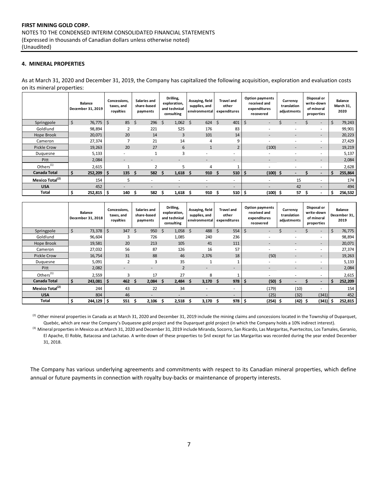## **4. MINERAL PROPERTIES**

As at March 31, 2020 and December 31, 2019, the Company has capitalized the following acquisition, exploration and evaluation costs on its mineral properties:

|                             | <b>Balance</b><br>December 31, 2019 | Concessions.<br>taxes, and<br>royalties | Salaries and<br>share-based<br>payments | Drilling,<br>exploration,<br>and technical<br>consulting | Assaying, field<br>supplies, and<br>environmental | <b>Travel and</b><br>other<br>expenditures | <b>Option payments</b><br>received and<br>expenditures<br>recovered | Currency<br>translation<br>adjustments | Disposal or<br>write-down<br>of mineral<br>properties |              | <b>Balance</b><br>March 31,<br>2020 |
|-----------------------------|-------------------------------------|-----------------------------------------|-----------------------------------------|----------------------------------------------------------|---------------------------------------------------|--------------------------------------------|---------------------------------------------------------------------|----------------------------------------|-------------------------------------------------------|--------------|-------------------------------------|
| Springpole                  | \$<br>76,775                        | \$<br>85                                | \$<br>296                               | Ŝ.<br>1,062                                              | $624 \quad $5$<br>- \$                            | 401                                        | Ś<br>$\overline{\phantom{a}}$                                       |                                        | $\sim$                                                | $\mathsf{S}$ | 79,243                              |
| Goldlund                    | 98,894                              |                                         | 221                                     | 525                                                      | 176                                               | 83                                         | -                                                                   |                                        | ٠                                                     |              | 99,901                              |
| Hope Brook                  | 20,071                              | 20                                      | 14                                      | 3                                                        | 101                                               | 14                                         | -                                                                   | $\overline{\phantom{0}}$               | $\overline{\phantom{a}}$                              |              | 20,223                              |
| Cameron                     | 27,374                              |                                         | 21                                      | 14                                                       | 4                                                 | 9                                          | ٠                                                                   |                                        | $\overline{\phantom{a}}$                              |              | 27,429                              |
| Pickle Crow                 | 19,263                              | 20                                      | 27                                      | 6                                                        | $\mathbf{1}$                                      | $\overline{2}$                             | (100)                                                               | $\overline{\phantom{a}}$               | $\overline{\phantom{0}}$                              |              | 19,219                              |
| Duquesne                    | 5,133                               | $\overline{\phantom{0}}$                |                                         | 3                                                        | ٠                                                 | ۰                                          | $\overline{\phantom{a}}$                                            | $\overline{\phantom{0}}$               | $\overline{\phantom{a}}$                              |              | 5,137                               |
| Pitt                        | 2,084                               | $\overline{\phantom{a}}$                | $\overline{\phantom{a}}$                | ۰                                                        | $\overline{\phantom{a}}$                          | -                                          | $\overline{\phantom{a}}$                                            | $\overline{\phantom{a}}$               | $\overline{\phantom{a}}$                              |              | 2,084                               |
| Others <sup>(1)</sup>       | 2,615                               |                                         |                                         | 5                                                        | 4                                                 |                                            |                                                                     |                                        | $\overline{\phantom{a}}$                              |              | 2,628                               |
| <b>Canada Total</b>         | \$<br>252,209                       | 135<br>\$                               | 582<br>Ŝ                                | Ŝ.<br>1,618                                              | 910<br><b>S</b>                                   | 510<br>-S                                  | $(100)$ \$<br>S                                                     |                                        | $\overline{\phantom{a}}$                              | \$.          | 255,864                             |
| Mexico Total <sup>(2)</sup> | 154                                 | 5                                       |                                         |                                                          | -                                                 | ٠                                          | ٠                                                                   | 15                                     | $\overline{\phantom{a}}$                              |              | 174                                 |
| <b>USA</b>                  | 452                                 |                                         |                                         |                                                          | -                                                 | $\overline{\phantom{a}}$                   |                                                                     | 42                                     | $\overline{\phantom{a}}$                              |              | 494                                 |
| Total                       | \$<br>252,815                       | \$<br>140                               | 582<br>S                                | 1,618<br>S                                               | 910 <sup>5</sup><br>- S                           | $510 \mid 5$                               | $(100)$ \$                                                          | 57                                     | s<br>$\overline{\phantom{a}}$                         | \$.          | 256,532                             |

|                             | <b>Balance</b><br>December 31, 2018 | Concessions.<br>taxes, and<br>royalties | Salaries and<br>share-based<br>payments | Drilling,<br>exploration,<br>and technical<br>consulting | Assaying, field<br>supplies, and<br>environmental | <b>Travel and</b><br>other<br>expenditures | <b>Option payments</b><br>received and<br>expenditures<br>recovered | Currency<br>translation<br>adjustments | Disposal or<br>write-down<br>of mineral<br>properties | <b>Balance</b><br>December 31,<br>2019 |
|-----------------------------|-------------------------------------|-----------------------------------------|-----------------------------------------|----------------------------------------------------------|---------------------------------------------------|--------------------------------------------|---------------------------------------------------------------------|----------------------------------------|-------------------------------------------------------|----------------------------------------|
| Springpole                  | \$<br>73,378                        | Ś<br>347                                | \$<br>950                               | Ś<br>1,058                                               | 488<br>Ś.                                         | Ś.<br>554                                  | Ŝ.                                                                  |                                        | $\sim$                                                | Ś<br>76,775                            |
| Goldlund                    | 96,604                              | 3                                       | 726                                     | 1,085                                                    | 240                                               | 236                                        |                                                                     |                                        |                                                       | 98,894                                 |
| Hope Brook                  | 19,581                              | 20                                      | 213                                     | 105                                                      | 41                                                | 111                                        | $\qquad \qquad \blacksquare$                                        | $\overline{\phantom{0}}$               | $\overline{\phantom{0}}$                              | 20,071                                 |
| Cameron                     | 27,032                              | 56                                      | 87                                      | 126                                                      | 16                                                | 57                                         | -                                                                   |                                        |                                                       | 27,374                                 |
| <b>Pickle Crow</b>          | 16,754                              | 31                                      | 88                                      | 46                                                       | 2,376                                             | 18                                         | (50)                                                                |                                        |                                                       | 19,263                                 |
| Duguesne                    | 5,091                               | $\overline{2}$                          | 3                                       | 35                                                       |                                                   | 1                                          | -                                                                   |                                        |                                                       | 5,133                                  |
| Pitt                        | 2,082                               | $\overline{\phantom{a}}$                | $\overline{\phantom{a}}$                | $\overline{2}$                                           | $\overline{\phantom{a}}$                          | $\overline{\phantom{a}}$                   | $\overline{a}$                                                      | $\overline{a}$                         | $\overline{\phantom{0}}$                              | 2,084                                  |
| Others <sup>(1)</sup>       | 2,559                               | 3                                       | 17                                      | 27                                                       | 8                                                 |                                            |                                                                     |                                        |                                                       | 2,615                                  |
| <b>Canada Total</b>         | 243,081                             | 462<br>s                                | 2,084<br>S                              | 2,484<br>S.                                              | $3,170$ \$<br>-S                                  | $978 \mid 5$                               | $(50)$ \$                                                           |                                        |                                                       | 252,209<br>\$.                         |
| Mexico Total <sup>(2)</sup> | 244                                 | 43                                      | 22                                      | 34                                                       | -                                                 | $\overline{\phantom{a}}$                   | (179)                                                               | (10)                                   | $\overline{\phantom{a}}$                              | 154                                    |
| <b>USA</b>                  | 804                                 | 46                                      | $\overline{\phantom{a}}$                | $\overline{\phantom{a}}$                                 | $\overline{\phantom{a}}$                          | $\overline{\phantom{a}}$                   | (25)                                                                | (32)                                   | (341)                                                 | 452                                    |
| Total                       | $244,129$ \$                        | 551                                     | 2,106<br>s                              | 2.518                                                    | 3,170                                             | 978                                        | (254) \$<br>-\$                                                     | (42)                                   | (341)                                                 | 252,815<br>.S                          |

<sup>(2)</sup> Other mineral properties in Canada as at March 31, 2020 and December 31, 2019 include the mining claims and concessions located in the Township of Duparquet, Quebéc, which are near the Company's Duquesne gold project and the Duparquet gold project (in which the Company holds a 10% indirect interest).

<sup>(3)</sup> Mineral properties in Mexico as at March 31, 2020 and December 31, 2019 include Miranda, Socorro, San Ricardo, Las Margaritas, Puertecitos, Los Tamales, Geranio, El Apache, El Roble, Batacosa and Lachatao. A write‐down of these properties to \$nil except for Las Margaritas was recorded during the year ended December 31, 2018.

The Company has various underlying agreements and commitments with respect to its Canadian mineral properties, which define annual or future payments in connection with royalty buy-backs or maintenance of property interests.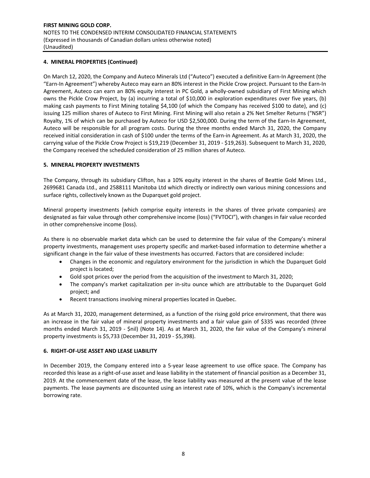## **4. MINERAL PROPERTIES (Continued)**

On March 12, 2020, the Company and Auteco Minerals Ltd ("Auteco") executed a definitive Earn‐In Agreement (the "Earn‐In Agreement") whereby Auteco may earn an 80% interest in the Pickle Crow project. Pursuant to the Earn‐In Agreement, Auteco can earn an 80% equity interest in PC Gold, a wholly-owned subsidiary of First Mining which owns the Pickle Crow Project, by (a) incurring a total of \$10,000 in exploration expenditures over five years, (b) making cash payments to First Mining totaling \$4,100 (of which the Company has received \$100 to date), and (c) issuing 125 million shares of Auteco to First Mining. First Mining will also retain a 2% Net Smelter Returns ("NSR") Royalty, 1% of which can be purchased by Auteco for USD \$2,500,000. During the term of the Earn-In Agreement, Auteco will be responsible for all program costs. During the three months ended March 31, 2020, the Company received initial consideration in cash of \$100 under the terms of the Earn‐in Agreement. As at March 31, 2020, the carrying value of the Pickle Crow Project is \$19,219 (December 31, 2019 ‐ \$19,263). Subsequent to March 31, 2020, the Company received the scheduled consideration of 25 million shares of Auteco.

#### **5. MINERAL PROPERTY INVESTMENTS**

The Company, through its subsidiary Clifton, has a 10% equity interest in the shares of Beattie Gold Mines Ltd., 2699681 Canada Ltd., and 2588111 Manitoba Ltd which directly or indirectly own various mining concessions and surface rights, collectively known as the Duparquet gold project.

Mineral property investments (which comprise equity interests in the shares of three private companies) are designated as fair value through other comprehensive income (loss) ("FVTOCI"), with changes in fair value recorded in other comprehensive income (loss).

As there is no observable market data which can be used to determine the fair value of the Company's mineral property investments, management uses property specific and market‐based information to determine whether a significant change in the fair value of these investments has occurred. Factors that are considered include:

- Changes in the economic and regulatory environment for the jurisdiction in which the Duparquet Gold project is located;
- Gold spot prices over the period from the acquisition of the investment to March 31, 2020;
- The company's market capitalization per in-situ ounce which are attributable to the Duparquet Gold project; and
- Recent transactions involving mineral properties located in Quebec.

As at March 31, 2020, management determined, as a function of the rising gold price environment, that there was an increase in the fair value of mineral property investments and a fair value gain of \$335 was recorded (three months ended March 31, 2019 - \$nil) (Note 14). As at March 31, 2020, the fair value of the Company's mineral property investments is \$5,733 (December 31, 2019 ‐ \$5,398).

#### **6. RIGHT‐OF‐USE ASSET AND LEASE LIABILITY**

In December 2019, the Company entered into a 5-year lease agreement to use office space. The Company has recorded this lease as a right‐of‐use asset and lease liability in the statement of financial position as a December 31, 2019. At the commencement date of the lease, the lease liability was measured at the present value of the lease payments. The lease payments are discounted using an interest rate of 10%, which is the Company's incremental borrowing rate.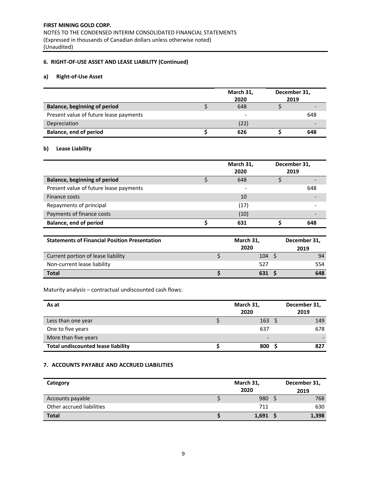# **6. RIGHT‐OF‐USE ASSET AND LEASE LIABILITY (Continued)**

## **a) Right‐of‐Use Asset**

|                                        | March 31,<br>2020 | December 31,<br>2019 |     |
|----------------------------------------|-------------------|----------------------|-----|
| <b>Balance, beginning of period</b>    | 648               |                      |     |
| Present value of future lease payments |                   |                      | 648 |
| Depreciation                           | (22)              |                      |     |
| <b>Balance, end of period</b>          | 626               |                      | 648 |

## **b) Lease Liability**

|                                        | March 31,<br>2020 | December 31,<br>2019 |     |
|----------------------------------------|-------------------|----------------------|-----|
| <b>Balance, beginning of period</b>    | 648               |                      |     |
| Present value of future lease payments |                   |                      | 648 |
| Finance costs                          | 10                |                      |     |
| Repayments of principal                | (17)              |                      |     |
| Payments of finance costs              | (10)              |                      |     |
| <b>Balance, end of period</b>          | 631               |                      | 648 |

| <b>Statements of Financial Position Presentation</b> | March 31, | December 31, |      |
|------------------------------------------------------|-----------|--------------|------|
|                                                      | 2020      |              | 2019 |
| Current portion of lease liability                   | 104       |              | 94   |
| Non-current lease liability                          | 527       |              | 554  |
| <b>Total</b>                                         | 631 9     |              | 648  |

Maturity analysis – contractual undiscounted cash flows:

| As at                                     | March 31,<br>2020        | December 31,<br>2019 |  |  |
|-------------------------------------------|--------------------------|----------------------|--|--|
| Less than one year                        | 163                      | 149                  |  |  |
| One to five years                         | 637                      | 678                  |  |  |
| More than five years                      | $\overline{\phantom{a}}$ |                      |  |  |
| <b>Total undiscounted lease liability</b> | 800                      | 827                  |  |  |

## **7. ACCOUNTS PAYABLE AND ACCRUED LIABILITIES**

| Category                  | March 31,<br>2020 |       |  | December 31,<br>2019 |
|---------------------------|-------------------|-------|--|----------------------|
| Accounts payable          |                   | 980   |  | 768                  |
| Other accrued liabilities |                   | 711   |  | 630                  |
| <b>Total</b>              |                   | 1,691 |  | 1,398                |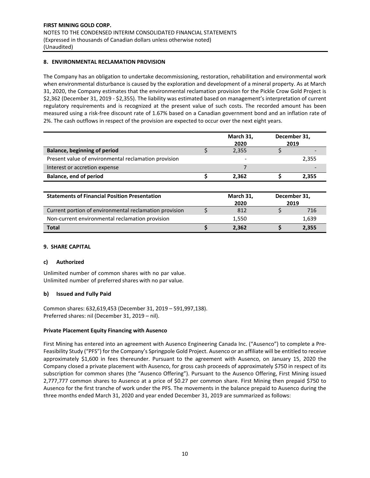## **8. ENVIRONMENTAL RECLAMATION PROVISION**

The Company has an obligation to undertake decommissioning, restoration, rehabilitation and environmental work when environmental disturbance is caused by the exploration and development of a mineral property. As at March 31, 2020, the Company estimates that the environmental reclamation provision for the Pickle Crow Gold Project is \$2,362 (December 31, 2019 ‐ \$2,355). The liability was estimated based on management's interpretation of current regulatory requirements and is recognized at the present value of such costs. The recorded amount has been measured using a risk‐free discount rate of 1.67% based on a Canadian government bond and an inflation rate of 2%. The cash outflows in respect of the provision are expected to occur over the next eight years.

|                                                      | March 31,                | December 31, |       |
|------------------------------------------------------|--------------------------|--------------|-------|
|                                                      | 2020                     |              | 2019  |
| <b>Balance, beginning of period</b>                  | 2,355                    |              |       |
| Present value of environmental reclamation provision | $\overline{\phantom{0}}$ |              | 2,355 |
| Interest or accretion expense                        |                          |              |       |
| Balance, end of period                               | 2.362                    |              | 2,355 |

| <b>Statements of Financial Position Presentation</b>   |  | March 31,<br>2020 | December 31,<br>2019 |
|--------------------------------------------------------|--|-------------------|----------------------|
| Current portion of environmental reclamation provision |  | 812               | 716                  |
| Non-current environmental reclamation provision        |  | 1,550             | 1,639                |
| <b>Total</b>                                           |  | 2.362             | 2,355                |

#### **9. SHARE CAPITAL**

#### **c) Authorized**

Unlimited number of common shares with no par value. Unlimited number of preferred shares with no par value.

## **b) Issued and Fully Paid**

Common shares: 632,619,453 (December 31, 2019 – 591,997,138). Preferred shares: nil (December 31, 2019 – nil).

## **Private Placement Equity Financing with Ausenco**

First Mining has entered into an agreement with Ausenco Engineering Canada Inc. ("Ausenco") to complete a Pre‐ Feasibility Study ("PFS") for the Company's Springpole Gold Project. Ausenco or an affiliate will be entitled to receive approximately \$1,600 in fees thereunder. Pursuant to the agreement with Ausenco, on January 15, 2020 the Company closed a private placement with Ausenco, for gross cash proceeds of approximately \$750 in respect of its subscription for common shares (the "Ausenco Offering"). Pursuant to the Ausenco Offering, First Mining issued 2,777,777 common shares to Ausenco at a price of \$0.27 per common share. First Mining then prepaid \$750 to Ausenco for the first tranche of work under the PFS. The movements in the balance prepaid to Ausenco during the three months ended March 31, 2020 and year ended December 31, 2019 are summarized as follows: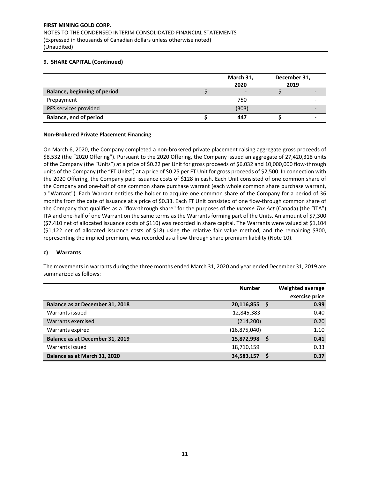|                                     | March 31,<br>2020 | December 31,<br>2019 |  |
|-------------------------------------|-------------------|----------------------|--|
| <b>Balance, beginning of period</b> |                   |                      |  |
| Prepayment                          | 750               |                      |  |
| PFS services provided               | (303)             |                      |  |
| Balance, end of period              | 447               |                      |  |

#### **Non‐Brokered Private Placement Financing**

On March 6, 2020, the Company completed a non‐brokered private placement raising aggregate gross proceeds of \$8,532 (the "2020 Offering"). Pursuant to the 2020 Offering, the Company issued an aggregate of 27,420,318 units of the Company (the "Units") at a price of \$0.22 per Unit for gross proceeds of \$6,032 and 10,000,000 flow‐through units of the Company (the "FT Units") at a price of \$0.25 per FT Unit for gross proceeds of \$2,500. In connection with the 2020 Offering, the Company paid issuance costs of \$128 in cash. Each Unit consisted of one common share of the Company and one‐half of one common share purchase warrant (each whole common share purchase warrant, a "Warrant"). Each Warrant entitles the holder to acquire one common share of the Company for a period of 36 months from the date of issuance at a price of \$0.33. Each FT Unit consisted of one flow-through common share of the Company that qualifies as a "flow‐through share" for the purposes of the *Income Tax Act* (Canada) (the "ITA") ITA and one-half of one Warrant on the same terms as the Warrants forming part of the Units. An amount of \$7,300 (\$7,410 net of allocated issuance costs of \$110) was recorded in share capital. The Warrants were valued at \$1,104  $(51,122$  net of allocated issuance costs of  $$18)$  using the relative fair value method, and the remaining \$300, representing the implied premium, was recorded as a flow-through share premium liability (Note 10).

#### **c) Warrants**

The movements in warrants during the three months ended March 31, 2020 and year ended December 31, 2019 are summarized as follows:

|                                 | <b>Number</b>  |  | <b>Weighted average</b> |
|---------------------------------|----------------|--|-------------------------|
|                                 |                |  | exercise price          |
| Balance as at December 31, 2018 | 20,116,855     |  | 0.99                    |
| Warrants issued                 | 12,845,383     |  | 0.40                    |
| Warrants exercised              | (214, 200)     |  | 0.20                    |
| Warrants expired                | (16, 875, 040) |  | 1.10                    |
| Balance as at December 31, 2019 | 15,872,998     |  | 0.41                    |
| Warrants issued                 | 18,710,159     |  | 0.33                    |
| Balance as at March 31, 2020    | 34,583,157     |  | 0.37                    |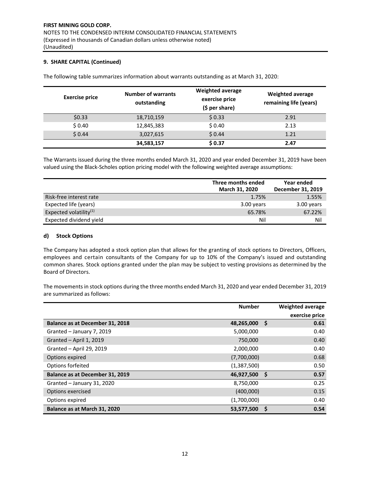The following table summarizes information about warrants outstanding as at March 31, 2020:

| <b>Exercise price</b> | <b>Number of warrants</b><br>outstanding | <b>Weighted average</b><br>exercise price<br>$(5 per share)$ | <b>Weighted average</b><br>remaining life (years) |
|-----------------------|------------------------------------------|--------------------------------------------------------------|---------------------------------------------------|
| \$0.33                | 18,710,159                               | \$0.33                                                       | 2.91                                              |
| \$0.40                | 12,845,383                               | \$0.40                                                       | 2.13                                              |
| \$0.44                | 3,027,615                                | \$0.44                                                       | 1.21                                              |
|                       | 34,583,157                               | \$0.37                                                       | 2.47                                              |

The Warrants issued during the three months ended March 31, 2020 and year ended December 31, 2019 have been valued using the Black‐Scholes option pricing model with the following weighted average assumptions:

|                           | Three months ended<br>March 31, 2020 | Year ended<br>December 31, 2019 |
|---------------------------|--------------------------------------|---------------------------------|
| Risk-free interest rate   | 1.75%                                | 1.55%                           |
| Expected life (years)     | 3.00 years                           | 3.00 years                      |
| Expected volatility $(1)$ | 65.78%                               | 67.22%                          |
| Expected dividend yield   | Nil                                  | Nil                             |

#### **d) Stock Options**

The Company has adopted a stock option plan that allows for the granting of stock options to Directors, Officers, employees and certain consultants of the Company for up to 10% of the Company's issued and outstanding common shares. Stock options granted under the plan may be subject to vesting provisions as determined by the Board of Directors.

The movements in stock options during the three months ended March 31, 2020 and year ended December 31, 2019 are summarized as follows:

|                                 | <b>Number</b> |    | Weighted average |
|---------------------------------|---------------|----|------------------|
|                                 |               |    | exercise price   |
| Balance as at December 31, 2018 | 48,265,000    | Ŝ. | 0.61             |
| Granted - January 7, 2019       | 5,000,000     |    | 0.40             |
| Granted - April 1, 2019         | 750,000       |    | 0.40             |
| Granted - April 29, 2019        | 2,000,000     |    | 0.40             |
| Options expired                 | (7,700,000)   |    | 0.68             |
| Options forfeited               | (1,387,500)   |    | 0.50             |
| Balance as at December 31, 2019 | 46,927,500    | S  | 0.57             |
| Granted - January 31, 2020      | 8,750,000     |    | 0.25             |
| Options exercised               | (400,000)     |    | 0.15             |
| Options expired                 | (1,700,000)   |    | 0.40             |
| Balance as at March 31, 2020    | 53,577,500    | S  | 0.54             |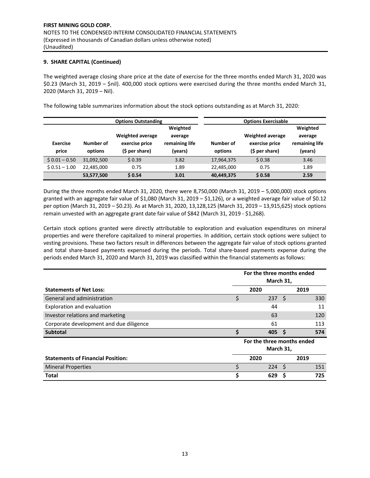The weighted average closing share price at the date of exercise for the three months ended March 31, 2020 was \$0.23 (March 31, 2019 – \$nil). 400,000 stock options were exercised during the three months ended March 31, 2020 (March 31, 2019 – Nil).

The following table summarizes information about the stock options outstanding as at March 31, 2020:

|                          |                      | <b>Options Outstanding</b>                                  |                                                  |                      | <b>Options Exercisable</b>                                  |                                                  |
|--------------------------|----------------------|-------------------------------------------------------------|--------------------------------------------------|----------------------|-------------------------------------------------------------|--------------------------------------------------|
| <b>Exercise</b><br>price | Number of<br>options | <b>Weighted average</b><br>exercise price<br>(\$ per share) | Weighted<br>average<br>remaining life<br>(years) | Number of<br>options | <b>Weighted average</b><br>exercise price<br>(\$ per share) | Weighted<br>average<br>remaining life<br>(years) |
| $$0.01 - 0.50$           | 31,092,500           | \$0.39                                                      | 3.82                                             | 17,964,375           | \$0.38                                                      | 3.46                                             |
| $$0.51 - 1.00$           | 22,485,000           | 0.75                                                        | 1.89                                             | 22,485,000           | 0.75                                                        | 1.89                                             |
|                          | 53,577,500           | \$0.54                                                      | 3.01                                             | 40,449,375           | \$0.58                                                      | 2.59                                             |

During the three months ended March 31, 2020, there were 8,750,000 (March 31, 2019 – 5,000,000) stock options granted with an aggregate fair value of \$1,080 (March 31, 2019 – \$1,126), or a weighted average fair value of \$0.12 per option (March 31, 2019 – \$0.23). As at March 31, 2020, 13,128,125 (March 31, 2019 – 13,915,625) stock options remain unvested with an aggregate grant date fair value of \$842 (March 31, 2019 ‐ \$1,268).

Certain stock options granted were directly attributable to exploration and evaluation expenditures on mineral properties and were therefore capitalized to mineral properties. In addition, certain stock options were subject to vesting provisions. These two factors result in differences between the aggregate fair value of stock options granted and total share-based payments expensed during the periods. Total share-based payments expense during the periods ended March 31, 2020 and March 31, 2019 was classified within the financial statements as follows:

|                                          | For the three months ended<br>March 31, |                            |    |      |
|------------------------------------------|-----------------------------------------|----------------------------|----|------|
| <b>Statements of Net Loss:</b>           |                                         | 2020                       |    | 2019 |
| General and administration               | \$                                      | 237                        | -Ś | 330  |
| Exploration and evaluation               |                                         | 44                         |    | 11   |
| Investor relations and marketing         |                                         | 63                         |    | 120  |
| Corporate development and due diligence  |                                         | 61                         |    | 113  |
| <b>Subtotal</b>                          | Ś                                       | 405                        | S  | 574  |
|                                          |                                         | For the three months ended |    |      |
|                                          |                                         | March 31,                  |    |      |
| <b>Statements of Financial Position:</b> |                                         | 2020                       |    | 2019 |
| <b>Mineral Properties</b>                | \$                                      | 224                        | -S | 151  |
| <b>Total</b>                             |                                         | 629                        |    | 725  |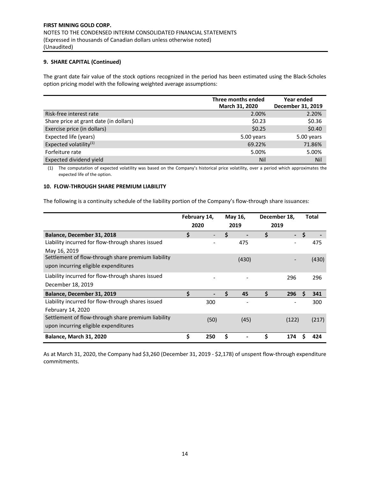The grant date fair value of the stock options recognized in the period has been estimated using the Black‐Scholes option pricing model with the following weighted average assumptions:

|                                        | Three months ended<br>March 31, 2020 | Year ended<br>December 31, 2019 |
|----------------------------------------|--------------------------------------|---------------------------------|
| Risk-free interest rate                | 2.00%                                | 2.20%                           |
| Share price at grant date (in dollars) | \$0.23                               | \$0.36                          |
| Exercise price (in dollars)            | \$0.25                               | \$0.40                          |
| Expected life (years)                  | 5.00 years                           | 5.00 years                      |
| Expected volatility <sup>(1)</sup>     | 69.22%                               | 71.86%                          |
| Forfeiture rate                        | 5.00%                                | 5.00%                           |
| Expected dividend yield                | Nil                                  | Nil                             |

(1) The computation of expected volatility was based on the Company's historical price volatility, over a period which approximates the expected life of the option.

#### **10. FLOW‐THROUGH SHARE PREMIUM LIABILITY**

The following is a continuity schedule of the liability portion of the Company's flow‐through share issuances:

|                                                    | February 14,<br>2020 |      | May 16,<br>2019 |       | December 18,<br>2019 |        | <b>Total</b> |       |
|----------------------------------------------------|----------------------|------|-----------------|-------|----------------------|--------|--------------|-------|
| Balance, December 31, 2018                         | \$                   |      | Ś               |       | \$                   | $\sim$ | \$           |       |
| Liability incurred for flow-through shares issued  |                      |      |                 | 475   |                      |        |              | 475   |
| May 16, 2019                                       |                      |      |                 |       |                      |        |              |       |
| Settlement of flow-through share premium liability |                      |      |                 | (430) |                      |        |              | (430) |
| upon incurring eligible expenditures               |                      |      |                 |       |                      |        |              |       |
| Liability incurred for flow-through shares issued  |                      |      |                 |       |                      | 296    |              | 296   |
| December 18, 2019                                  |                      |      |                 |       |                      |        |              |       |
| Balance, December 31, 2019                         | \$                   |      | Ś               | 45    | S                    | 296    | S            | 341   |
| Liability incurred for flow-through shares issued  |                      | 300  |                 |       |                      |        |              | 300   |
| February 14, 2020                                  |                      |      |                 |       |                      |        |              |       |
| Settlement of flow-through share premium liability |                      | (50) |                 | (45)  |                      | (122)  |              | (217) |
| upon incurring eligible expenditures               |                      |      |                 |       |                      |        |              |       |
| <b>Balance, March 31, 2020</b>                     | \$                   | 250  | \$              |       | Ś                    | 174    |              | 424   |

As at March 31, 2020, the Company had \$3,260 (December 31, 2019 ‐ \$2,178) of unspent flow‐through expenditure commitments.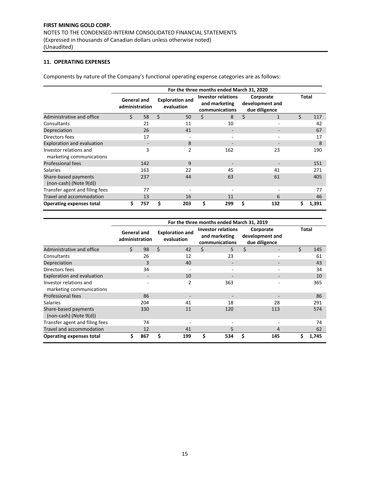# **11. OPERATING EXPENSES**

Components by nature of the Company's functional operating expense categories are as follows:

|                                                     | For the three months ended March 31, 2020 |     |    |                                      |    |                                                              |                    |                                               |       |       |
|-----------------------------------------------------|-------------------------------------------|-----|----|--------------------------------------|----|--------------------------------------------------------------|--------------------|-----------------------------------------------|-------|-------|
|                                                     | <b>General and</b><br>administration      |     |    | <b>Exploration and</b><br>evaluation |    | <b>Investor relations</b><br>and marketing<br>communications |                    | Corporate<br>development and<br>due diligence | Total |       |
| Administrative and office                           | Ś.                                        | 58  | Ś. | 50                                   | Ś. | 8                                                            | $\dot{\mathsf{S}}$ | $\mathbf{1}$                                  | \$    | 117   |
| Consultants                                         |                                           | 21  |    | 11                                   |    | 10                                                           |                    | $\overline{\phantom{a}}$                      |       | 42    |
| Depreciation                                        |                                           | 26  |    | 41                                   |    |                                                              |                    |                                               |       | 67    |
| Directors fees                                      |                                           | 17  |    |                                      |    |                                                              |                    |                                               |       | 17    |
| <b>Exploration and evaluation</b>                   |                                           |     |    | 8                                    |    |                                                              |                    | $\overline{\phantom{a}}$                      |       | 8     |
| Investor relations and<br>marketing communications  |                                           | 3   |    | $\overline{2}$                       |    | 162                                                          |                    | 23                                            |       | 190   |
| <b>Professional fees</b>                            |                                           | 142 |    | 9                                    |    |                                                              |                    |                                               |       | 151   |
| <b>Salaries</b>                                     |                                           | 163 |    | 22                                   |    | 45                                                           |                    | 41                                            |       | 271   |
| Share-based payments<br>$(non-cash)$ (Note $9(d)$ ) |                                           | 237 |    | 44                                   |    | 63                                                           |                    | 61                                            |       | 405   |
| Transfer agent and filing fees                      |                                           | 77  |    |                                      |    |                                                              |                    |                                               |       | 77    |
| Travel and accommodation                            |                                           | 13  |    | 16                                   |    | 11                                                           |                    | 6                                             |       | 46    |
| <b>Operating expenses total</b>                     | \$                                        | 757 | \$ | 203                                  | \$ | 299                                                          | Ś                  | 132                                           | Ś     | 1,391 |

|                                                     | For the three months ended March 31, 2019 |     |    |                                      |    |                                                              |    |                                               |       |       |
|-----------------------------------------------------|-------------------------------------------|-----|----|--------------------------------------|----|--------------------------------------------------------------|----|-----------------------------------------------|-------|-------|
|                                                     | <b>General and</b><br>administration      |     |    | <b>Exploration and</b><br>evaluation |    | <b>Investor relations</b><br>and marketing<br>communications |    | Corporate<br>development and<br>due diligence | Total |       |
| Administrative and office                           | Ś.                                        | 98  | \$ | 42                                   | \$ | 5                                                            | \$ | $\overline{\phantom{0}}$                      | \$    | 145   |
| Consultants                                         |                                           | 26  |    | 12                                   |    | 23                                                           |    | ۰                                             |       | 61    |
| Depreciation                                        |                                           | 3   |    | 40                                   |    | -                                                            |    | $\overline{\phantom{0}}$                      |       | 43    |
| Directors fees                                      |                                           | 34  |    |                                      |    |                                                              |    |                                               |       | 34    |
| <b>Exploration and evaluation</b>                   |                                           |     |    | 10                                   |    |                                                              |    | $\overline{\phantom{0}}$                      |       | 10    |
| Investor relations and<br>marketing communications  |                                           |     |    | 2                                    |    | 363                                                          |    |                                               |       | 365   |
| <b>Professional fees</b>                            |                                           | 86  |    | $\overline{\phantom{0}}$             |    | $\overline{\phantom{a}}$                                     |    | $\overline{\phantom{a}}$                      |       | 86    |
| <b>Salaries</b>                                     |                                           | 204 |    | 41                                   |    | 18                                                           |    | 28                                            |       | 291   |
| Share-based payments<br>$(non-cash)$ (Note $9(d)$ ) |                                           | 330 |    | 11                                   |    | 120                                                          |    | 113                                           |       | 574   |
| Transfer agent and filing fees                      |                                           | 74  |    |                                      |    |                                                              |    |                                               |       | 74    |
| Travel and accommodation                            |                                           | 12  |    | 41                                   |    | 5                                                            |    | 4                                             |       | 62    |
| <b>Operating expenses total</b>                     | \$                                        | 867 | \$ | 199                                  | \$ | 534                                                          | Ś  | 145                                           | \$    | 1.745 |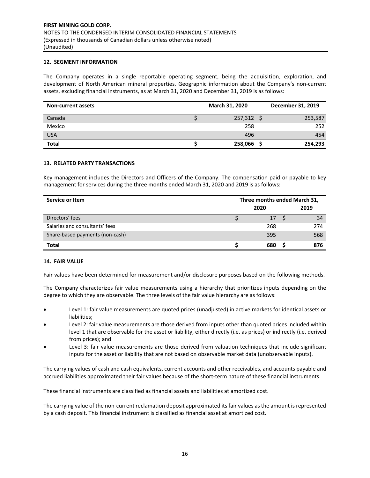#### **12. SEGMENT INFORMATION**

The Company operates in a single reportable operating segment, being the acquisition, exploration, and development of North American mineral properties. Geographic information about the Company's non‐current assets, excluding financial instruments, as at March 31, 2020 and December 31, 2019 is as follows:

| <b>Non-current assets</b> | March 31, 2020 | December 31, 2019 |
|---------------------------|----------------|-------------------|
| Canada                    | $257,312$ \$   | 253,587           |
| Mexico                    | 258            | 252               |
| <b>USA</b>                | 496            | 454               |
| <b>Total</b>              | 258,066        | 254,293           |

#### **13. RELATED PARTY TRANSACTIONS**

Key management includes the Directors and Officers of the Company. The compensation paid or payable to key management for services during the three months ended March 31, 2020 and 2019 is as follows:

| Service or Item                 | Three months ended March 31, |              |  |     |
|---------------------------------|------------------------------|--------------|--|-----|
|                                 |                              | 2019<br>2020 |  |     |
| Directors' fees                 |                              | 17           |  | 34  |
| Salaries and consultants' fees  |                              | 268          |  | 274 |
| Share-based payments (non-cash) |                              | 395          |  | 568 |
| <b>Total</b>                    |                              | 680          |  | 876 |

#### **14. FAIR VALUE**

Fair values have been determined for measurement and/or disclosure purposes based on the following methods.

The Company characterizes fair value measurements using a hierarchy that prioritizes inputs depending on the degree to which they are observable. The three levels of the fair value hierarchy are as follows:

- Level 1: fair value measurements are quoted prices (unadjusted) in active markets for identical assets or liabilities;
- Level 2: fair value measurements are those derived from inputs other than quoted prices included within level 1 that are observable for the asset or liability, either directly (i.e. as prices) or indirectly (i.e. derived from prices); and
- Level 3: fair value measurements are those derived from valuation techniques that include significant inputs for the asset or liability that are not based on observable market data (unobservable inputs).

The carrying values of cash and cash equivalents, current accounts and other receivables, and accounts payable and accrued liabilities approximated their fair values because of the short-term nature of these financial instruments.

These financial instruments are classified as financial assets and liabilities at amortized cost.

The carrying value of the non‐current reclamation deposit approximated its fair values as the amount is represented by a cash deposit. This financial instrument is classified as financial asset at amortized cost.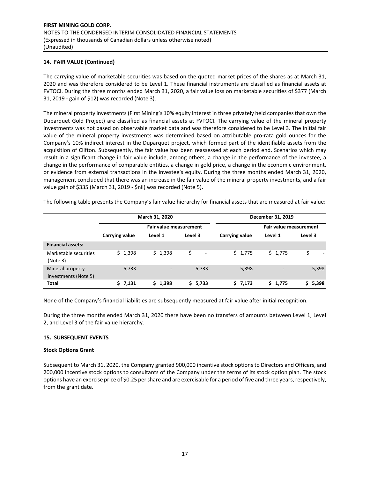## **14. FAIR VALUE (Continued)**

The carrying value of marketable securities was based on the quoted market prices of the shares as at March 31, 2020 and was therefore considered to be Level 1. These financial instruments are classified as financial assets at FVTOCI. During the three months ended March 31, 2020, a fair value loss on marketable securities of \$377 (March 31, 2019 ‐ gain of \$12) was recorded (Note 3).

The mineral property investments (First Mining's 10% equity interest in three privately held companies that own the Duparquet Gold Project) are classified as financial assets at FVTOCI. The carrying value of the mineral property investments was not based on observable market data and was therefore considered to be Level 3. The initial fair value of the mineral property investments was determined based on attributable pro-rata gold ounces for the Company's 10% indirect interest in the Duparquet project, which formed part of the identifiable assets from the acquisition of Clifton. Subsequently, the fair value has been reassessed at each period end. Scenarios which may result in a significant change in fair value include, among others, a change in the performance of the investee, a change in the performance of comparable entities, a change in gold price, a change in the economic environment, or evidence from external transactions in the investee's equity. During the three months ended March 31, 2020, management concluded that there was an increase in the fair value of the mineral property investments, and a fair value gain of \$335 (March 31, 2019 ‐ \$nil) was recorded (Note 5).

The following table presents the Company's fair value hierarchy for financial assets that are measured at fair value:

|                                          |                | March 31, 2020         |         | December 31, 2019 |                          |         |  |  |  |
|------------------------------------------|----------------|------------------------|---------|-------------------|--------------------------|---------|--|--|--|
|                                          |                | Fair value measurement |         |                   | Fair value measurement   |         |  |  |  |
|                                          | Carrying value | Level 1                | Level 3 | Carrying value    | Level 1                  | Level 3 |  |  |  |
| <b>Financial assets:</b>                 |                |                        |         |                   |                          |         |  |  |  |
| Marketable securities<br>(Note 3)        | \$1,398        | \$1,398                | Ś<br>۰  | \$1,775           | \$1,775                  | \$<br>۰ |  |  |  |
| Mineral property<br>investments (Note 5) | 5,733          |                        | 5,733   | 5,398             | $\overline{\phantom{0}}$ | 5,398   |  |  |  |
| <b>Total</b>                             | \$7,131        | \$1,398                | \$5,733 | \$7,173           | \$1,775                  | \$5,398 |  |  |  |

None of the Company's financial liabilities are subsequently measured at fair value after initial recognition.

During the three months ended March 31, 2020 there have been no transfers of amounts between Level 1, Level 2, and Level 3 of the fair value hierarchy.

#### **15. SUBSEQUENT EVENTS**

#### **Stock Options Grant**

Subsequent to March 31, 2020, the Company granted 900,000 incentive stock options to Directors and Officers, and 200,000 incentive stock options to consultants of the Company under the terms of its stock option plan. The stock options have an exercise price of \$0.25 per share and are exercisable for a period of five and three years, respectively, from the grant date.